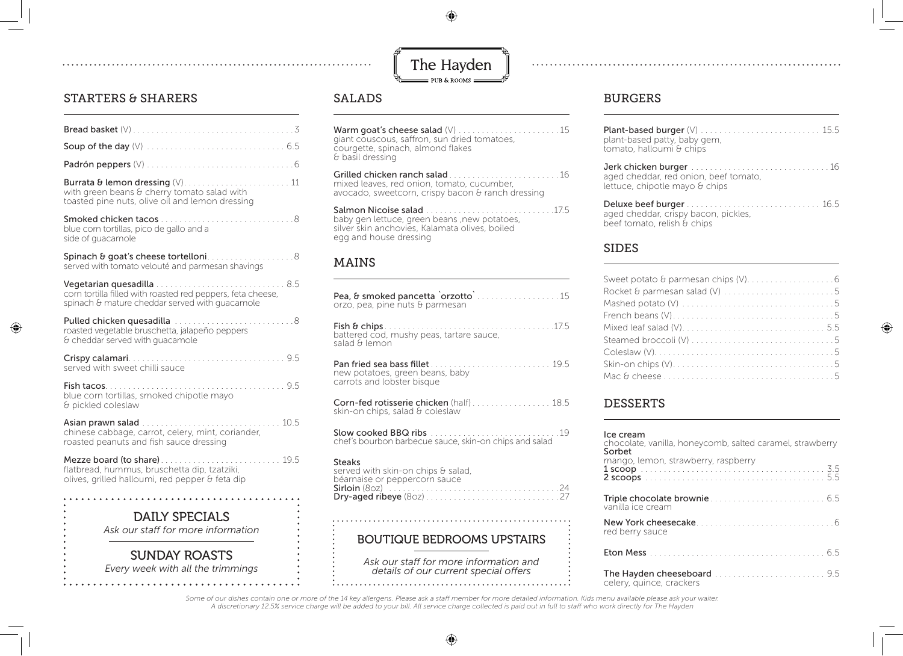$\bigoplus$ 



# STARTERS & SHARERS

◈

| Burrata & lemon dressing (V) 11<br>with green beans & cherry tomato salad with<br>toasted pine nuts, olive oil and lemon dressing |
|-----------------------------------------------------------------------------------------------------------------------------------|
| blue corn tortillas, pico de gallo and a<br>side of guacamole                                                                     |
| Spinach & goat's cheese tortelloni8<br>served with tomato velouté and parmesan shavings                                           |
| corn tortilla filled with roasted red peppers, feta cheese,<br>spinach & mature cheddar served with guacamole                     |
| Pulled chicken quesadilla 8<br>roasted vegetable bruschetta, jalapeño peppers<br>& cheddar served with quacamole                  |
| served with sweet chilli sauce                                                                                                    |
| blue corn tortillas, smoked chipotle mayo<br>& pickled coleslaw                                                                   |
| chinese cabbage, carrot, celery, mint, coriander,<br>roasted peanuts and fish sauce dressing                                      |
| flatbread, hummus, bruschetta dip, tzatziki,<br>olives, grilled halloumi, red pepper & feta dip                                   |
| <b>DAILY SPECIALS</b><br>Ask our staff for more information                                                                       |

*Every week with all the trimmings* SUNDAY ROASTS

# SALADS

. . . . . . . . . . . . ..

Warm goat's cheese salad (V) . . . . . . . . . . . . . . . . . . . . . 15 giant couscous, saffron, sun dried tomatoes, courgette, spinach, almond flakes & basil dressing

Grilled chicken ranch salad . . . . . . . . . . . . . . . . . . . . . . . 16 mixed leaves, red onion, tomato, cucumber, avocado, sweetcorn, crispy bacon & ranch dressing

Salmon Nicoise salad . . . . . . . . . . . . . . . . . . . . . . . . . . . 17.5 baby gen lettuce, green beans ,new potatoes, silver skin anchovies, Kalamata olives, boiled egg and house dressing

## MAINS

| Pea, & smoked pancetta `orzotto` 15<br>orzo, pea, pine nuts & parmesan                          |
|-------------------------------------------------------------------------------------------------|
| battered cod, mushy peas, tartare sauce,<br>salad & lemon                                       |
| Pan fried sea bass fillet 19.5<br>new potatoes, green beans, baby<br>carrots and lobster bisque |
| Corn-fed rotisserie chicken (half) 18.5<br>skin-on chips, salad & coleslaw                      |
| chef's bourbon barbecue sauce, skin-on chips and salad                                          |
| <b>Steaks</b><br>served with skin-on chips & salad,<br>béarnaise or peppercorn sauce            |
|                                                                                                 |

BOUTIQUE BEDROOMS UPSTAIRS

*Ask our staff for more information and details of our current special offers* 

# BURGERS

| plant-based patty, baby gem,<br>tomato, halloumi & chips                |
|-------------------------------------------------------------------------|
| aged cheddar, red onion, beef tomato,<br>lettuce, chipotle mayo & chips |
| aged cheddar, crispy bacon, pickles,<br>beef tomato, relish & chips     |

## SIDES

| Rocket & parmesan salad (V) 5 |
|-------------------------------|
|                               |
|                               |
|                               |
|                               |
|                               |
|                               |
|                               |

◈

#### DESSERTS

| lce cream<br>chocolate, vanilla, honeycomb, salted caramel, strawberry<br>Sorbet<br>mango, lemon, strawberry, raspberry |
|-------------------------------------------------------------------------------------------------------------------------|
| vanilla ice cream                                                                                                       |
| red berry sauce                                                                                                         |
|                                                                                                                         |
| celery, quince, crackers                                                                                                |

 *Some of our dishes contain one or more of the 14 key allergens. Please ask a staff member for more detailed information. Kids menu available please ask your waiter. A discretionary 12.5% service charge will be added to your bill. All service charge collected is paid out in full to staff who work directly for The Hayden*